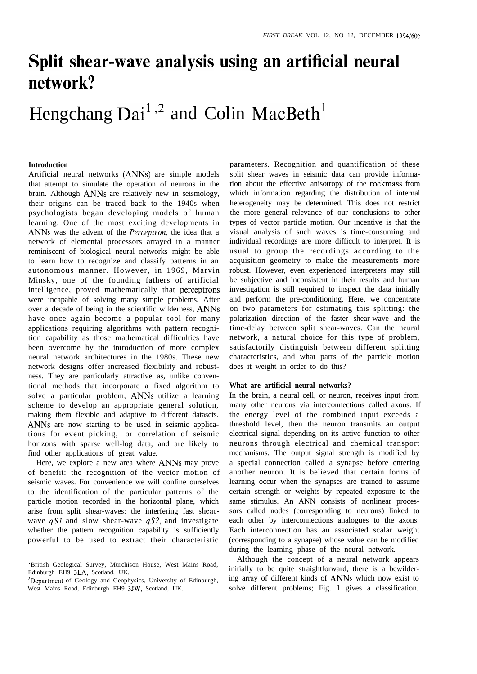## **Split shear-wave analysis using an artificial neural network?**

# Hengchang  $Dai<sup>1,2</sup>$  and Colin MacBeth<sup>1</sup>

### **Introduction**

Artificial neural networks (ANNs) are simple models that attempt to simulate the operation of neurons in the brain. Although ANNs are relatively new in seismology, their origins can be traced back to the 1940s when psychologists began developing models of human learning. One of the most exciting developments in ANNs was the advent of the *Perceptron,* the idea that a network of elemental processors arrayed in a manner reminiscent of biological neural networks might be able to learn how to recognize and classify patterns in an autonomous manner. However, in 1969, Marvin Minsky, one of the founding fathers of artificial intelligence, proved mathematically that perceptrons were incapable of solving many simple problems. After over a decade of being in the scientific wilderness, ANNs have once again become a popular tool for many applications requiring algorithms with pattern recognition capability as those mathematical difficulties have been overcome by the introduction of more complex neural network architectures in the 1980s. These new network designs offer increased flexibility and robustness. They are particularly attractive as, unlike conventional methods that incorporate a fixed algorithm to solve a particular problem, ANNs utilize a learning scheme to develop an appropriate general solution, making them flexible and adaptive to different datasets. ANNs are now starting to be used in seismic applications for event picking, or correlation of seismic horizons with sparse well-log data, and are likely to find other applications of great value.

Here, we explore a new area where ANNs may prove of benefit: the recognition of the vector motion of seismic waves. For convenience we will confine ourselves to the identification of the particular patterns of the particle motion recorded in the horizontal plane, which arise from split shear-waves: the interfering fast shearwave *qSI* and slow shear-wave *qS2,* and investigate whether the pattern recognition capability is sufficiently powerful to be used to extract their characteristic

parameters. Recognition and quantification of these split shear waves in seismic data can provide information about the effective anisotropy of the rockmass from which information regarding the distribution of internal heterogeneity may be determined. This does not restrict the more general relevance of our conclusions to other types of vector particle motion. Our incentive is that the visual analysis of such waves is time-consuming and individual recordings are more difficult to interpret. It is usual to group the recordings according to the acquisition geometry to make the measurements more robust. However, even experienced interpreters may still be subjective and inconsistent in their results and human investigation is still required to inspect the data initially and perform the pre-conditioning. Here, we concentrate on two parameters for estimating this splitting: the polarization direction of the faster shear-wave and the time-delay between split shear-waves. Can the neural network, a natural choice for this type of problem, satisfactorily distinguish between different splitting characteristics, and what parts of the particle motion does it weight in order to do this?

#### **What are artificial neural networks?**

In the brain, a neural cell, or neuron, receives input from many other neurons via interconnections called axons. If the energy level of the combined input exceeds a threshold level, then the neuron transmits an output electrical signal depending on its active function to other neurons through electrical and chemical transport mechanisms. The output signal strength is modified by a special connection called a synapse before entering another neuron. It is believed that certain forms of learning occur when the synapses are trained to assume certain strength or weights by repeated exposure to the same stimulus. An ANN consists of nonlinear processors called nodes (corresponding to neurons) linked to each other by interconnections analogues to the axons. Each interconnection has an associated scalar weight (corresponding to a synapse) whose value can be modified during the learning phase of the neural network.

Although the concept of a neural network appears initially to be quite straightforward, there is a bewildering array of different kinds of ANNs which now exist to solve different problems; Fig. 1 gives a classification.

<sup>&#</sup>x27;British Geological Survey, Murchison House, West Mains Road, Edinburgh EH9 3LA, Scotland, UK.

<sup>&</sup>lt;sup>2</sup>Department of Geology and Geophysics, University of Edinburgh, West Mains Road, Edinburgh EH9 3JW, Scotland, UK.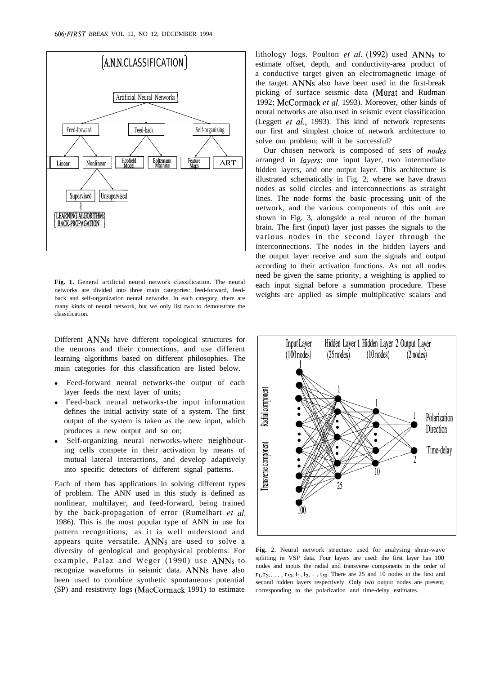

**Fig. 1.** General artificial neural network classification. The neural networks are divided into three main categories: feed-forward, feedback and self-organization neural networks. In each category, there are many kinds of neural network, but we only list two to demonstrate the classification.

Different ANNs have different topological structures for the neurons and their connections, and use different learning algorithms based on different philosophies. The main categories for this classification are listed below.

- Feed-forward neural networks-the output of each layer feeds the next layer of units;
- Feed-back neural networks-the input information defines the initial activity state of a system. The first output of the system is taken as the new input, which produces a new output and so on;
- Self-organizing neural networks-where neighbouring cells compete in their activation by means of mutual lateral interactions, and develop adaptively into specific detectors of different signal patterns.

Each of them has applications in solving different types of problem. The ANN used in this study is defined as nonlinear, multilayer, and feed-forward, being trained by the back-propagation of error (Rumelhart *et al.* 1986). This is the most popular type of ANN in use for pattern recognitions, as it is well understood and appears quite versatile. ANNs are used to solve a diversity of geological and geophysical problems. For example, Palaz and Weger (1990) use ANNs to recognize waveforms in seismic data. ANNs have also been used to combine synthetic spontaneous potential (SP) and resistivity logs (MacCormack 1991) to estimate

lithology logs. Poulton *et al. (1992)* used ANNs to estimate offset, depth, and conductivity-area product of a conductive target given an electromagnetic image of the target. ANNs also have been used in the first-break picking of surface seismic data (Murat and Rudman 1992; McCormack *et al.* 1993). Moreover, other kinds of neural networks are also used in seismic event classification (Leggett *et al.,* 1993). This kind of network represents our first and simplest choice of network architecture to solve our problem; will it be successful?

Our chosen network is composed of sets of *nodes* arranged in *layers:* one input layer, two intermediate hidden layers, and one output layer. This architecture is illustrated schematically in Fig. 2, where we have drawn nodes as solid circles and interconnections as straight lines. The node forms the basic processing unit of the network, and the various components of this unit are shown in Fig. 3, alongside a real neuron of the human brain. The first (input) layer just passes the signals to the various nodes in the second layer through the interconnections. The nodes in the hidden layers and the output layer receive and sum the signals and output according to their activation functions. As not all nodes need be given the same priority, a weighting is applied to each input signal before a summation procedure. These weights are applied as simple multiplicative scalars and



**Fig.** 2. Neural network structure used for analysing shear-wave splitting in VSP data. Four layers are used: the first layer has 100 nodes and inputs the radial and transverse components in the order of  $r_1, r_2, \ldots, r_{50}, t_1, t_2, \ldots, t_{50}$ . There are 25 and 10 nodes in the first and second hidden layers respectively. Only two output nodes are present, corresponding to the polarization and time-delay estimates.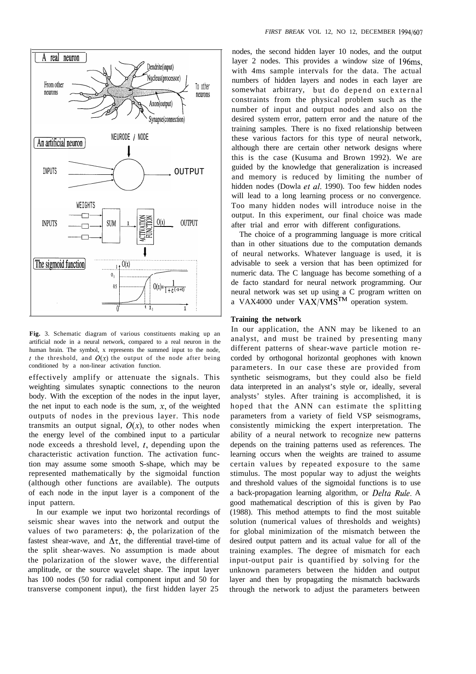

**Fig.** 3. Schematic diagram of various constituents making up an artificial node in a neural network, compared to a real neuron in the human brain. The symbol, x represents the summed input to the node, t the threshold, and  $O(x)$  the output of the node after being conditioned by a non-linear activation function.

effectively amplify or attenuate the signals. This weighting simulates synaptic connections to the neuron body. With the exception of the nodes in the input layer, the net input to each node is the sum,  $x$ , of the weighted outputs of nodes in the previous layer. This node transmits an output signal,  $O(x)$ , to other nodes when the energy level of the combined input to a particular node exceeds a threshold level,  $t$ , depending upon the characteristic activation function. The activation function may assume some smooth S-shape, which may be represented mathematically by the sigmoidal function (although other functions are available). The outputs of each node in the input layer is a component of the input pattern.

In our example we input two horizontal recordings of seismic shear waves into the network and output the values of two parameters:  $\phi$ , the polarization of the fastest shear-wave, and  $\Delta \tau$ , the differential travel-time of the split shear-waves. No assumption is made about the polarization of the slower wave, the differential amplitude, or the source wavelet shape. The input layer has 100 nodes (50 for radial component input and 50 for transverse component input), the first hidden layer 25

nodes, the second hidden layer 10 nodes, and the output layer 2 nodes. This provides a window size of 196ms, with 4ms sample intervals for the data. The actual numbers of hidden layers and nodes in each layer are somewhat arbitrary, but do depend on external constraints from the physical problem such as the number of input and output nodes and also on the desired system error, pattern error and the nature of the training samples. There is no fixed relationship between these various factors for this type of neural network, although there are certain other network designs where this is the case (Kusuma and Brown 1992). We are guided by the knowledge that generalization is increased and memory is reduced by limiting the number of hidden nodes (Dowla *et al.* 1990). Too few hidden nodes will lead to a long learning process or no convergence. Too many hidden nodes will introduce noise in the output. In this experiment, our final choice was made after trial and error with different configurations.

The choice of a programming language is more critical than in other situations due to the computation demands of neural networks. Whatever language is used, it is advisable to seek a version that has been optimized for numeric data. The C language has become something of a de facto standard for neural network programming. Our neural network was set up using a C program written on a VAX4000 under  $VAX/VMS<sup>IM</sup>$  operation system.

#### **Training the network**

In our application, the ANN may be likened to an analyst, and must be trained by presenting many different patterns of shear-wave particle motion recorded by orthogonal horizontal geophones with known parameters. In our case these are provided from synthetic seismograms, but they could also be field data interpreted in an analyst's style or, ideally, several analysts' styles. After training is accomplished, it is hoped that the ANN can estimate the splitting parameters from a variety of field VSP seismograms, consistently mimicking the expert interpretation. The ability of a neural network to recognize new patterns depends on the training patterns used as references. The learning occurs when the weights are trained to assume certain values by repeated exposure to the same stimulus. The most popular way to adjust the weights and threshold values of the sigmoidal functions is to use a back-propagation learning algorithm, or *Delta Rule.* A good mathematical description of this is given by Pao (1988). This method attempts to find the most suitable solution (numerical values of thresholds and weights) for global minimization of the mismatch between the desired output pattern and its actual value for all of the training examples. The degree of mismatch for each input-output pair is quantified by solving for the unknown parameters between the hidden and output layer and then by propagating the mismatch backwards through the network to adjust the parameters between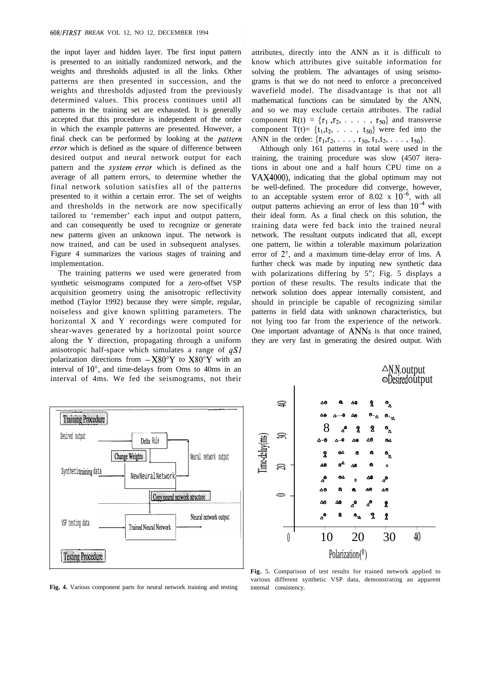the input layer and hidden layer. The first input pattern is presented to an initially randomized network, and the weights and thresholds adjusted in all the links. Other patterns are then presented in succession, and the weights and thresholds adjusted from the previously determined values. This process continues until all patterns in the training set are exhausted. It is generally accepted that this procedure is independent of the order in which the example patterns are presented. However, a final check can be performed by looking at the *pattern* error which is defined as the square of difference between desired output and neural network output for each pattern and the *system error* which is defined as the average of all pattern errors, to determine whether the final network solution satisfies all of the patterns presented to it within a certain error. The set of weights and thresholds in the network are now specifically tailored to 'remember' each input and output pattern, and can consequently be used to recognize or generate new patterns given an unknown input. The network is now trained, and can be used in subsequent analyses. Figure 4 summarizes the various stages of training and implementation.

The training patterns we used were generated from synthetic seismograms computed for a zero-offset VSP acquisition geometry using the anisotropic reflectivity method (Taylor 1992) because they were simple, regular, noiseless and give known splitting parameters. The horizontal X and Y recordings were computed for shear-waves generated by a horizontal point source along the Y direction, propagating through a uniform anisotropic half-space which simulates a range of  $qSI$ polarization directions from  $-X80^{\circ}Y$  to  $X80^{\circ}Y$  with an interval of  $10^{\circ}$ , and time-delays from Oms to 40ms in an interval of 4ms. We fed the seismograms, not their attributes, directly into the ANN as it is difficult to know which attributes give suitable information for solving the problem. The advantages of using seismograms is that we do not need to enforce a preconceived wavefield model. The disadvantage is that not all mathematical functions can be simulated by the ANN, and so we may exclude certain attributes. The radial component  $R(t) = {r_1, r_2, \ldots, r_{50}}$  and transverse component  $T(t) = \{t_1, t_2, \ldots, t_{50}\}$  were fed into the ANN in the order:  $\{r_1, r_2, \ldots, r_{50}, t_1, t_2, \ldots, t_{50}\}.$ 

Although only 161 patterns in total were used in the training, the training procedure was slow (4507 iterations in about one and a half hours CPU time on a VAX4000), indicating that the global optimum may not be well-defined. The procedure did converge, however, to an acceptable system error of 8.02 x  $10^{-6}$ , with all output patterns achieving an error of less than  $10^{-4}$  with their ideal form. As a final check on this solution, the training data were fed back into the trained neural network. The resultant outputs indicated that all, except one pattern, lie within a tolerable maximum polarization error of  $2^\circ$ , and a maximum time-delay error of lms. A further check was made by inputing new synthetic data with polarizations differing by 5"; Fig. 5 displays a portion of these results. The results indicate that the network solution does appear internally consistent, and should in principle be capable of recognizing similar patterns in field data with unknown characteristics, but not lying too far from the experience of the network. One important advantage of ANNs is that once trained, they are very fast in generating the desired output. With



**Fig. 4.** Various component parts for neural network training and testing



**Fig.** 5. Comparison of test results for trained network applied to various different synthetic VSP data, demonstrating an apparent internal consistency.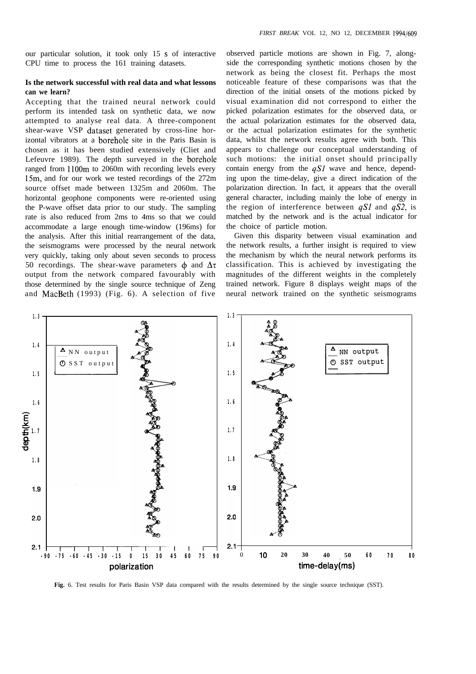our particular solution, it took only 15 s of interactive CPU time to process the 161 training datasets.

## **Is the network successful with real data and what lessons can we learn?**

Accepting that the trained neural network could perform its intended task on synthetic data, we now attempted to analyse real data. A three-component shear-wave VSP dataset generated by cross-line horizontal vibrators at a borehole site in the Paris Basin is chosen as it has been studied extensively (Cliet and Lefeuvre 1989). The depth surveyed in the borehole ranged from 1100m to 2060m with recording levels every 15m, and for our work we tested recordings of the 272m source offset made between 1325m and 2060m. The horizontal geophone components were re-oriented using the P-wave offset data prior to our study. The sampling rate is also reduced from 2ms to 4ms so that we could accommodate a large enough time-window (196ms) for the analysis. After this initial rearrangement of the data, the seismograms were processed by the neural network very quickly, taking only about seven seconds to process 50 recordings. The shear-wave parameters  $\phi$  and  $\Delta\tau$ output from the network compared favourably with those determined by the single source technique of Zeng and MacBeth (1993) (Fig. 6). A selection of five

observed particle motions are shown in Fig. 7, alongside the corresponding synthetic motions chosen by the network as being the closest fit. Perhaps the most noticeable feature of these comparisons was that the direction of the initial onsets of the motions picked by visual examination did not correspond to either the picked polarization estimates for the observed data, or the actual polarization estimates for the observed data, or the actual polarization estimates for the synthetic data, whilst the network results agree with both. This appears to challenge our conceptual understanding of such motions: the initial onset should principally contain energy from the  $qS1$  wave and hence, depending upon the time-delay, give a direct indication of the polarization direction. In fact, it appears that the overall general character, including mainly the lobe of energy in the region of interference between qSI and *qS2,* is matched by the network and is the actual indicator for the choice of particle motion.

Given this disparity between visual examination and the network results, a further insight is required to view the mechanism by which the neural network performs its classification. This is achieved by investigating the magnitudes of the different weights in the completely trained network. Figure 8 displays weight maps of the neural network trained on the synthetic seismograms



**Fig.** 6. Test results for Paris Basin VSP data compared with the results determined by the single source technique (SST).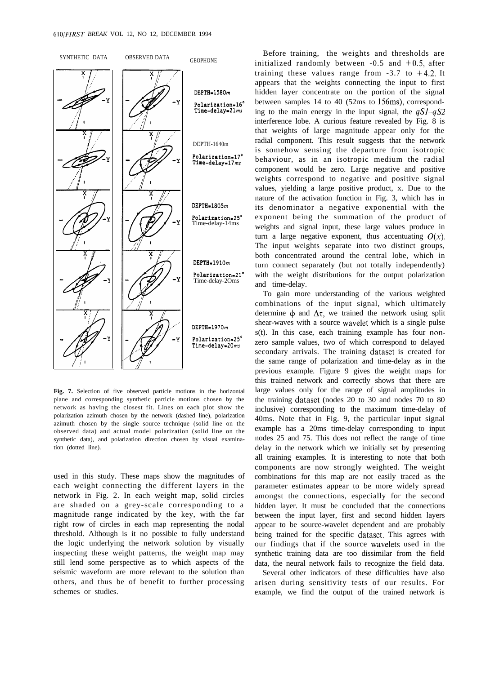

**Fig. 7.** Selection of five observed particle motions in the horizontal plane and corresponding synthetic particle motions chosen by the network as having the closest fit. Lines on each plot show the polarization azimuth chosen by the network (dashed line), polarization azimuth chosen by the single source technique (solid line on the observed data) and actual model polarization (solid line on the synthetic data), and polarization direction chosen by visual examination (dotted line).

used in this study. These maps show the magnitudes of each weight connecting the different layers in the network in Fig. 2. In each weight map, solid circles are shaded on a grey-scale corresponding to a magnitude range indicated by the key, with the far right row of circles in each map representing the nodal threshold. Although is it no possible to fully understand the logic underlying the network solution by visually inspecting these weight patterns, the weight map may still lend some perspective as to which aspects of the seismic waveform are more relevant to the solution than others, and thus be of benefit to further processing schemes or studies.

Before training, the weights and thresholds are initialized randomly between  $-0.5$  and  $+0.5$ , after training these values range from  $-3.7$  to  $+4.2$ . It appears that the weights connecting the input to first hidden layer concentrate on the portion of the signal between samples 14 to 40 (52ms to 156ms), corresponding to the main energy in the input signal, the *qSI-qS2* interference lobe. A curious feature revealed by Fig. 8 is that weights of large magnitude appear only for the radial component. This result suggests that the network is somehow sensing the departure from isotropic behaviour, as in an isotropic medium the radial component would be zero. Large negative and positive weights correspond to negative and positive signal values, yielding a large positive product, x. Due to the nature of the activation function in Fig. 3, which has in its denominator a negative exponential with the exponent being the summation of the product of weights and signal input, these large values produce in turn a large negative exponent, thus accentuating  $O(x)$ . The input weights separate into two distinct groups, both concentrated around the central lobe, which in turn connect separately (but not totally independently) with the weight distributions for the output polarization and time-delay.

To gain more understanding of the various weighted combinations of the input signal, which ultimately determine  $\phi$  and  $\Delta \tau$ , we trained the network using split shear-waves with a source wavelet which is a single pulse s(t). In this case, each training example has four nonzero sample values, two of which correspond to delayed secondary arrivals. The training dataset is created for the same range of polarization and time-delay as in the previous example. Figure 9 gives the weight maps for this trained network and correctly shows that there are large values only for the range of signal amplitudes in the training dataset (nodes 20 to 30 and nodes 70 to 80 inclusive) corresponding to the maximum time-delay of 40ms. Note that in Fig. 9, the particular input signal example has a 20ms time-delay corresponding to input nodes 25 and 75. This does not reflect the range of time delay in the network which we initially set by presenting all training examples. It is interesting to note that both components are now strongly weighted. The weight combinations for this map are not easily traced as the parameter estimates appear to be more widely spread amongst the connections, especially for the second hidden layer. It must be concluded that the connections between the input layer, first and second hidden layers appear to be source-wavelet dependent and are probably being trained for the specific dataset. This agrees with our findings that if the source wavelets used in the synthetic training data are too dissimilar from the field data, the neural network fails to recognize the field data.

Several other indicators of these difficulties have also arisen during sensitivity tests of our results. For example, we find the output of the trained network is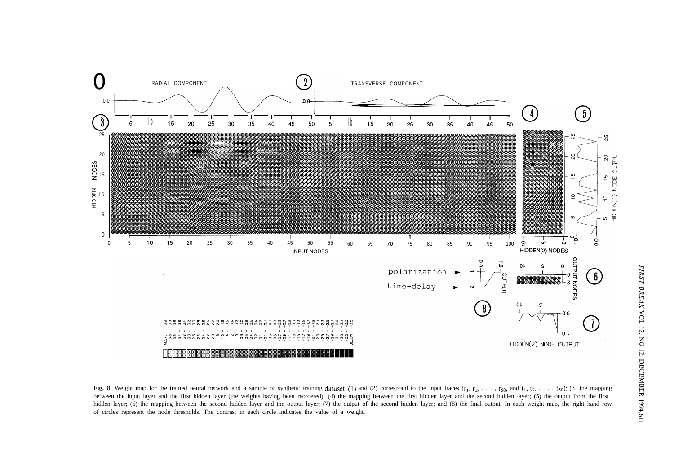

Fig. 8. Weight map for the trained neural network and a sample of synthetic training dataset. (1) and (2) correspond to the input traces  $(r_1, r_2, \ldots, r_{50}$ , and  $t_1, t_2, \ldots, t_{50}$ ); (3) the mapping between the input layer and the first hidden layer (the weights having been reordered); (4) the mapping between the first hidden layer and the second hidden layer; (5) the output from the first hidden layer; (6) the mapping between the second hidden layer and the output layer; (7) the output of the second hidden layer; and (8) the final output. In each weight map, the right hand row of circles represent the node thresholds. The contrast in each circle indicates the value of a weight.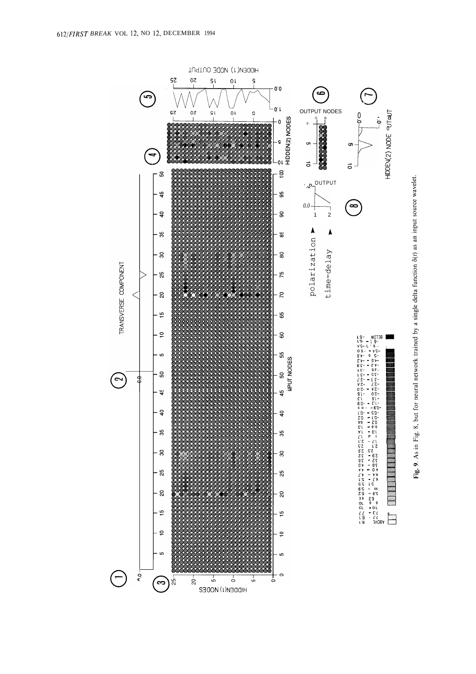